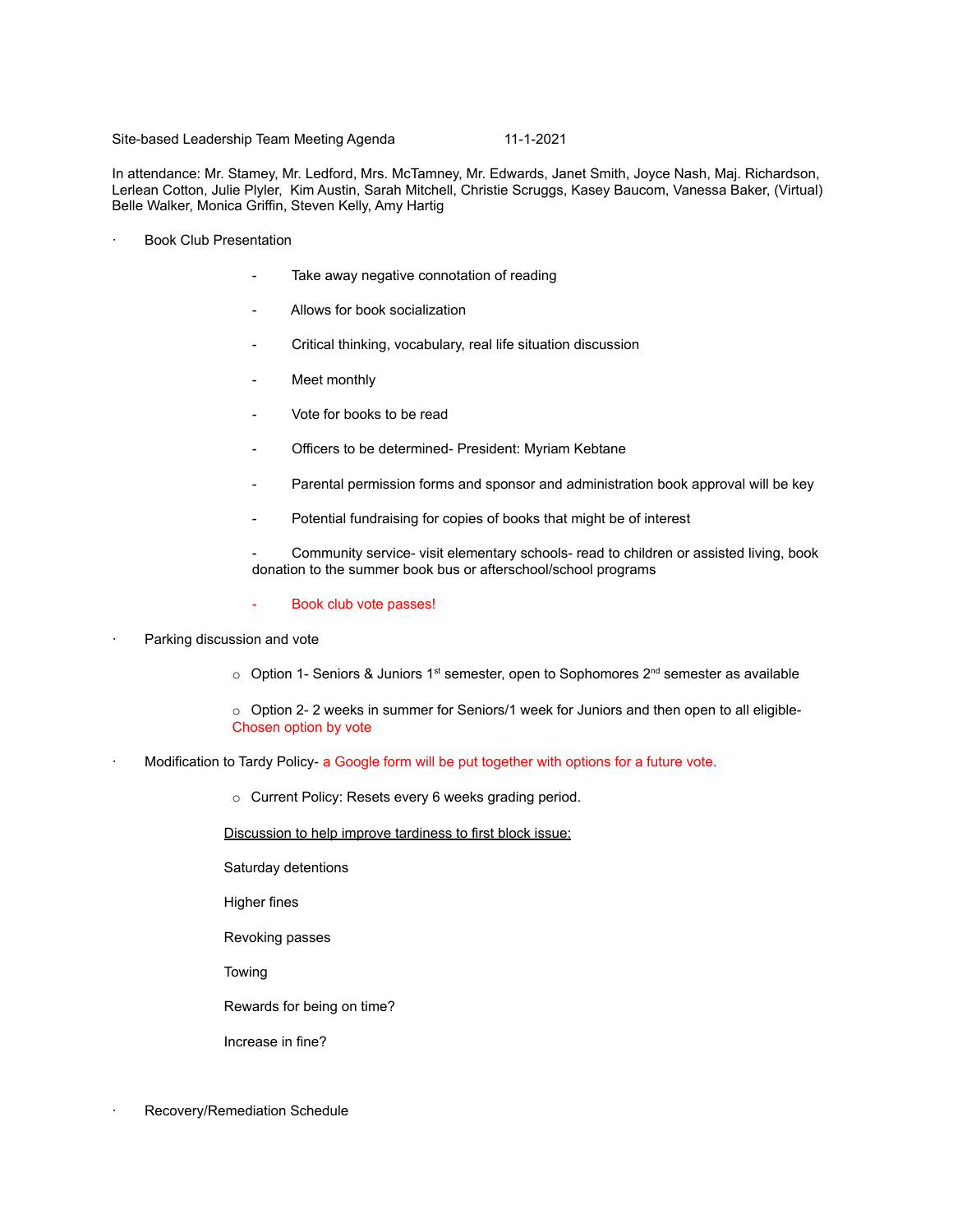## Site-based Leadership Team Meeting Agenda 11-1-2021

In attendance: Mr. Stamey, Mr. Ledford, Mrs. McTamney, Mr. Edwards, Janet Smith, Joyce Nash, Maj. Richardson, Lerlean Cotton, Julie Plyler, Kim Austin, Sarah Mitchell, Christie Scruggs, Kasey Baucom, Vanessa Baker, (Virtual) Belle Walker, Monica Griffin, Steven Kelly, Amy Hartig

- Book Club Presentation
	- Take away negative connotation of reading
	- Allows for book socialization
	- Critical thinking, vocabulary, real life situation discussion
	- Meet monthly
	- Vote for books to be read
	- Officers to be determined- President: Myriam Kebtane
	- Parental permission forms and sponsor and administration book approval will be key
	- Potential fundraising for copies of books that might be of interest
	- Community service- visit elementary schools- read to children or assisted living, book donation to the summer book bus or afterschool/school programs
	- Book club vote passes!
- Parking discussion and vote
	- $\circ$  Option 1- Seniors & Juniors 1<sup>st</sup> semester, open to Sophomores 2<sup>nd</sup> semester as available
	- o Option 2- 2 weeks in summer for Seniors/1 week for Juniors and then open to all eligible-Chosen option by vote
- Modification to Tardy Policy- a Google form will be put together with options for a future vote.
	- o Current Policy: Resets every 6 weeks grading period.
	- Discussion to help improve tardiness to first block issue:
	- Saturday detentions
	- Higher fines
	- Revoking passes
	- Towing
	- Rewards for being on time?
	- Increase in fine?
- Recovery/Remediation Schedule